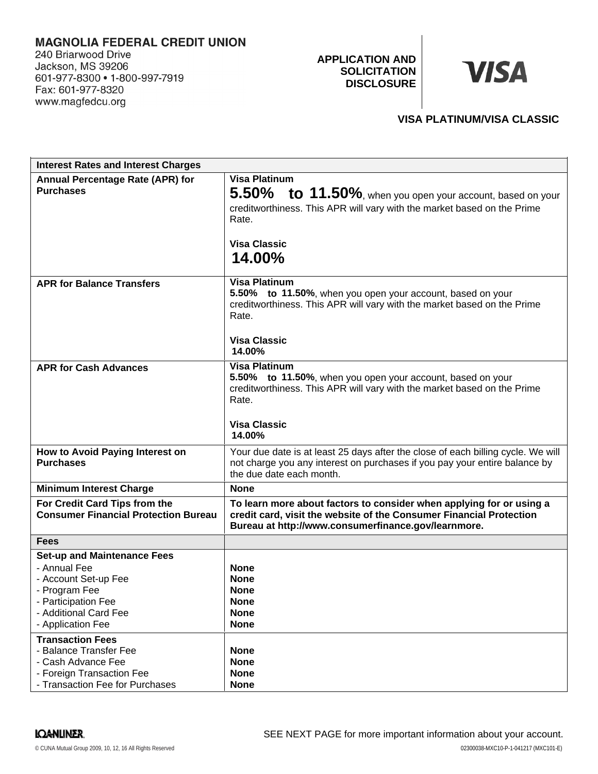# **MAGNOLIA FEDERAL CREDIT UNION**

240 Briarwood Drive Jackson, MS 39206 601-977-8300 • 1-800-997-7919 Fax: 601-977-8320 www.magfedcu.org

**APPLICATION AND SOLICITATION DISCLOSURE**

# **VISA**

# **VISA PLATINUM/VISA CLASSIC**

| <b>Interest Rates and Interest Charges</b>                                                                                                                       |                                                                                                                                                                                                                |
|------------------------------------------------------------------------------------------------------------------------------------------------------------------|----------------------------------------------------------------------------------------------------------------------------------------------------------------------------------------------------------------|
| <b>Annual Percentage Rate (APR) for</b><br><b>Purchases</b>                                                                                                      | <b>Visa Platinum</b><br>$5.50\%$ to $11.50\%$ , when you open your account, based on your<br>creditworthiness. This APR will vary with the market based on the Prime<br>Rate.<br><b>Visa Classic</b><br>14.00% |
| <b>APR for Balance Transfers</b>                                                                                                                                 | <b>Visa Platinum</b><br>5.50% to 11.50%, when you open your account, based on your<br>creditworthiness. This APR will vary with the market based on the Prime<br>Rate.<br><b>Visa Classic</b><br>14.00%        |
| <b>APR for Cash Advances</b>                                                                                                                                     | <b>Visa Platinum</b><br>5.50% to 11.50%, when you open your account, based on your<br>creditworthiness. This APR will vary with the market based on the Prime<br>Rate.<br><b>Visa Classic</b><br>14.00%        |
| How to Avoid Paying Interest on<br><b>Purchases</b>                                                                                                              | Your due date is at least 25 days after the close of each billing cycle. We will<br>not charge you any interest on purchases if you pay your entire balance by<br>the due date each month.                     |
| <b>Minimum Interest Charge</b>                                                                                                                                   | None                                                                                                                                                                                                           |
| For Credit Card Tips from the<br><b>Consumer Financial Protection Bureau</b>                                                                                     | To learn more about factors to consider when applying for or using a<br>credit card, visit the website of the Consumer Financial Protection<br>Bureau at http://www.consumerfinance.gov/learnmore.             |
| <b>Fees</b>                                                                                                                                                      |                                                                                                                                                                                                                |
| <b>Set-up and Maintenance Fees</b><br>- Annual Fee<br>- Account Set-up Fee<br>- Program Fee<br>- Participation Fee<br>- Additional Card Fee<br>- Application Fee | <b>None</b><br><b>None</b><br>None<br><b>None</b><br><b>None</b><br><b>None</b>                                                                                                                                |
| <b>Transaction Fees</b><br>- Balance Transfer Fee<br>- Cash Advance Fee<br>- Foreign Transaction Fee<br>- Transaction Fee for Purchases                          | <b>None</b><br><b>None</b><br><b>None</b><br><b>None</b>                                                                                                                                                       |